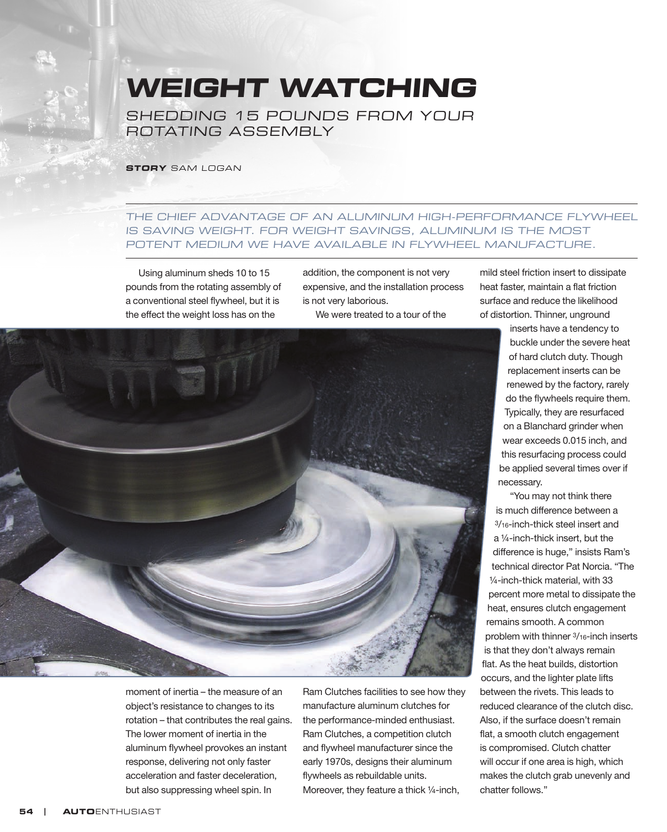## **Weight Watching**

Shedding 15 pounds from your rotating assembly

**Story** Sam Logan

The chief advantage of an aluminum high-performance flywheel is saving weight. for weight savings, aluminum is the most potent medium we have available in flywheel manufacture.

Using aluminum sheds 10 to 15 pounds from the rotating assembly of a conventional steel flywheel, but it is the effect the weight loss has on the

addition, the component is not very expensive, and the installation process is not very laborious.

We were treated to a tour of the



moment of inertia – the measure of an object's resistance to changes to its rotation – that contributes the real gains. The lower moment of inertia in the aluminum flywheel provokes an instant response, delivering not only faster acceleration and faster deceleration, but also suppressing wheel spin. In

Ram Clutches facilities to see how they manufacture aluminum clutches for the performance-minded enthusiast. Ram Clutches, a competition clutch and flywheel manufacturer since the early 1970s, designs their aluminum flywheels as rebuildable units. Moreover, they feature a thick ¼-inch,

mild steel friction insert to dissipate heat faster, maintain a flat friction surface and reduce the likelihood of distortion. Thinner, unground

> inserts have a tendency to buckle under the severe heat of hard clutch duty. Though replacement inserts can be renewed by the factory, rarely do the flywheels require them. Typically, they are resurfaced on a Blanchard grinder when wear exceeds 0.015 inch, and this resurfacing process could be applied several times over if necessary.

"You may not think there is much difference between a 3/16-inch-thick steel insert and a ¼-inch-thick insert, but the difference is huge," insists Ram's technical director Pat Norcia. "The ¼-inch-thick material, with 33 percent more metal to dissipate the heat, ensures clutch engagement remains smooth. A common problem with thinner 3/16-inch inserts is that they don't always remain flat. As the heat builds, distortion occurs, and the lighter plate lifts between the rivets. This leads to reduced clearance of the clutch disc. Also, if the surface doesn't remain flat, a smooth clutch engagement is compromised. Clutch chatter will occur if one area is high, which makes the clutch grab unevenly and chatter follows."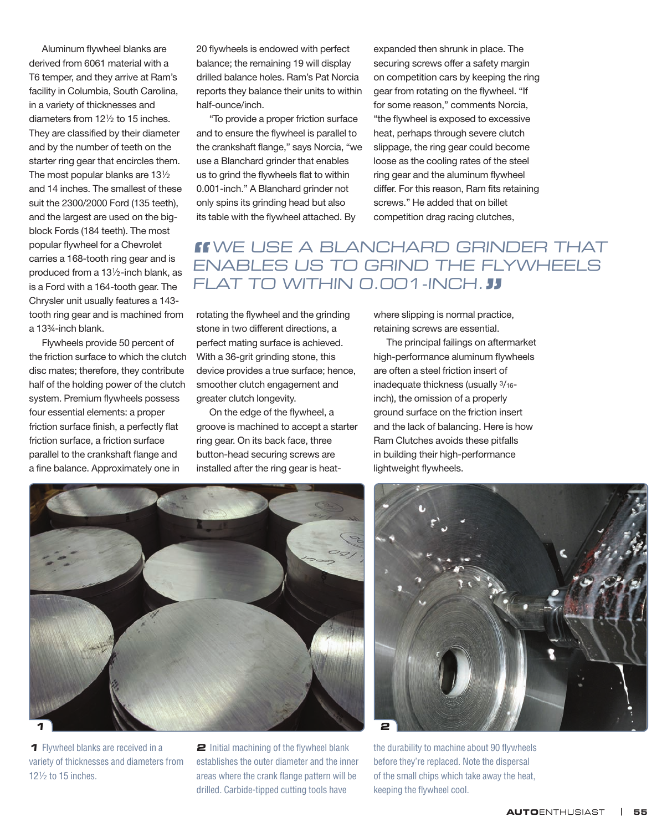Aluminum flywheel blanks are derived from 6061 material with a T6 temper, and they arrive at Ram's facility in Columbia, South Carolina, in a variety of thicknesses and diameters from 12½ to 15 inches. They are classified by their diameter and by the number of teeth on the starter ring gear that encircles them. The most popular blanks are 13½ and 14 inches. The smallest of these suit the 2300/2000 Ford (135 teeth), and the largest are used on the bigblock Fords (184 teeth). The most popular flywheel for a Chevrolet carries a 168-tooth ring gear and is produced from a 13½-inch blank, as is a Ford with a 164-tooth gear. The Chrysler unit usually features a 143 tooth ring gear and is machined from a 13¾-inch blank.

Flywheels provide 50 percent of the friction surface to which the clutch disc mates; therefore, they contribute half of the holding power of the clutch system. Premium flywheels possess four essential elements: a proper friction surface finish, a perfectly flat friction surface, a friction surface parallel to the crankshaft flange and a fine balance. Approximately one in

20 flywheels is endowed with perfect balance; the remaining 19 will display drilled balance holes. Ram's Pat Norcia reports they balance their units to within half-ounce/inch.

"To provide a proper friction surface and to ensure the flywheel is parallel to the crankshaft flange," says Norcia, "we use a Blanchard grinder that enables us to grind the flywheels flat to within 0.001-inch." A Blanchard grinder not only spins its grinding head but also its table with the flywheel attached. By

expanded then shrunk in place. The securing screws offer a safety margin on competition cars by keeping the ring gear from rotating on the flywheel. "If for some reason," comments Norcia, "the flywheel is exposed to excessive heat, perhaps through severe clutch slippage, the ring gear could become loose as the cooling rates of the steel ring gear and the aluminum flywheel differ. For this reason, Ram fits retaining screws." He added that on billet competition drag racing clutches,

## **"**we use a Blanchard grinder that enables us to grind the flywheels flat to within 0.001-inch.**"**

rotating the flywheel and the grinding stone in two different directions, a perfect mating surface is achieved. With a 36-grit grinding stone, this device provides a true surface; hence, smoother clutch engagement and greater clutch longevity.

On the edge of the flywheel, a groove is machined to accept a starter ring gear. On its back face, three button-head securing screws are installed after the ring gear is heatwhere slipping is normal practice, retaining screws are essential.

The principal failings on aftermarket high-performance aluminum flywheels are often a steel friction insert of inadequate thickness (usually 3/16 inch), the omission of a properly ground surface on the friction insert and the lack of balancing. Here is how Ram Clutches avoids these pitfalls in building their high-performance lightweight flywheels.



**1** Flywheel blanks are received in a variety of thicknesses and diameters from 12½ to 15 inches.

**2** Initial machining of the flywheel blank establishes the outer diameter and the inner areas where the crank flange pattern will be drilled. Carbide-tipped cutting tools have



the durability to machine about 90 flywheels before they're replaced. Note the dispersal of the small chips which take away the heat, keeping the flywheel cool.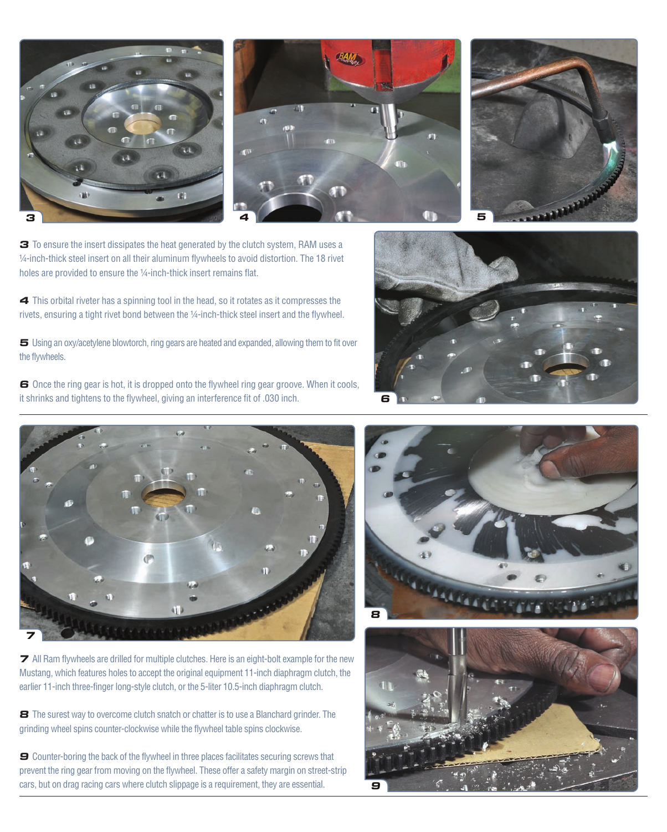

**3** To ensure the insert dissipates the heat generated by the clutch system, RAM uses a ¼-inch-thick steel insert on all their aluminum flywheels to avoid distortion. The 18 rivet holes are provided to ensure the ¼-inch-thick insert remains flat.

**4** This orbital riveter has a spinning tool in the head, so it rotates as it compresses the rivets, ensuring a tight rivet bond between the ¼-inch-thick steel insert and the flywheel.

**5** Using an oxy/acetylene blowtorch, ring gears are heated and expanded, allowing them to fit over the flywheels.

**6** Once the ring gear is hot, it is dropped onto the flywheel ring gear groove. When it cools, it shrinks and tightens to the flywheel, giving an interference fit of .030 inch.





**7** All Ram flywheels are drilled for multiple clutches. Here is an eight-bolt example for the new Mustang, which features holes to accept the original equipment 11-inch diaphragm clutch, the earlier 11-inch three-finger long-style clutch, or the 5-liter 10.5-inch diaphragm clutch.

**8** The surest way to overcome clutch snatch or chatter is to use a Blanchard grinder. The grinding wheel spins counter-clockwise while the flywheel table spins clockwise.

**9** Counter-boring the back of the flywheel in three places facilitates securing screws that prevent the ring gear from moving on the flywheel. These offer a safety margin on street-strip cars, but on drag racing cars where clutch slippage is a requirement, they are essential.